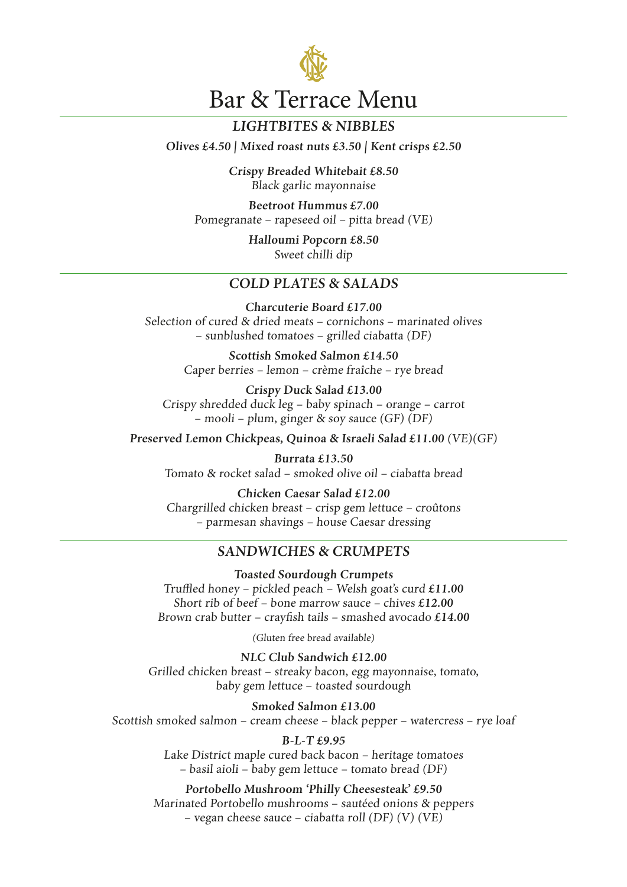

# **LIGHTBITES & NIBBLES**

**Olives £4.50 | Mixed roast nuts £3.50 | Kent crisps £2.50**

**Crispy Breaded Whitebait £8.50** Black garlic mayonnaise

**Beetroot Hummus £7.00** Pomegranate – rapeseed oil – pitta bread (VE)

> **Halloumi Popcorn £8.50** Sweet chilli dip

## **COLD PLATES & SALADS**

**Charcuterie Board £17.00** Selection of cured & dried meats – cornichons – marinated olives – sunblushed tomatoes – grilled ciabatta (DF)

> **Scottish Smoked Salmon £14.50** Caper berries – lemon – crème fraîche – rye bread

**Crispy Duck Salad £13.00** Crispy shredded duck leg – baby spinach – orange – carrot – mooli – plum, ginger & soy sauce (GF) (DF)

**Preserved Lemon Chickpeas, Quinoa & Israeli Salad £11.00** (VE)(GF)

**Burrata £13.50** Tomato & rocket salad – smoked olive oil – ciabatta bread

**Chicken Caesar Salad £12.00** Chargrilled chicken breast – crisp gem lettuce – croûtons – parmesan shavings – house Caesar dressing

### **SANDWICHES & CRUMPETS**

**Toasted Sourdough Crumpets** Truffled honey – pickled peach – Welsh goat's curd **£11.00** Short rib of beef – bone marrow sauce – chives **£12.00** Brown crab butter – crayfish tails – smashed avocado **£14.00**

(Gluten free bread available)

**NLC Club Sandwich £12.00** Grilled chicken breast – streaky bacon, egg mayonnaise, tomato, baby gem lettuce – toasted sourdough

**Smoked Salmon £13.00** Scottish smoked salmon – cream cheese – black pepper – watercress – rye loaf

#### **B-L-T £9.95**

Lake District maple cured back bacon – heritage tomatoes – basil aioli – baby gem lettuce – tomato bread (DF)

**Portobello Mushroom 'Philly Cheesesteak' £9.50** Marinated Portobello mushrooms – sautéed onions & peppers – vegan cheese sauce – ciabatta roll (DF) (V) (VE)